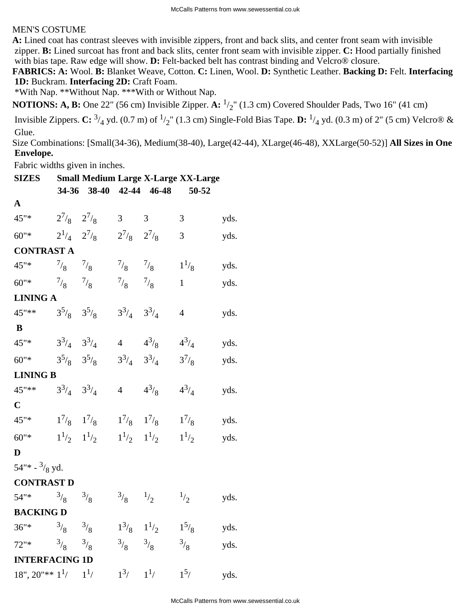## MEN'S COSTUME

**A:** Lined coat has contrast sleeves with invisible zippers, front and back slits, and center front seam with invisible zipper. **B:** Lined surcoat has front and back slits, center front seam with invisible zipper. **C:** Hood partially finished with bias tape. Raw edge will show. **D:** Felt-backed belt has contrast binding and Velcro® closure.

**FABRICS: A:** Wool. **B:** Blanket Weave, Cotton. **C:** Linen, Wool. **D:** Synthetic Leather. **Backing D:** Felt. **Interfacing 1D:** Buckram. **Interfacing 2D:** Craft Foam.

\*With Nap. \*\*Without Nap. \*\*\*With or Without Nap.

**NOTIONS: A, B:** One 22" (56 cm) Invisible Zipper. **A:**  $\frac{1}{2}$ " (1.3 cm) Covered Shoulder Pads, Two 16" (41 cm)

Invisible Zippers. **C:**  $\frac{3}{4}$  yd. (0.7 m) of  $\frac{1}{2}$ " (1.3 cm) Single-Fold Bias Tape. **D:**  $\frac{1}{4}$  yd. (0.3 m) of 2" (5 cm) Velcro® & Glue.

Size Combinations: [Small(34-36), Medium(38-40), Large(42-44), XLarge(46-48), XXLarge(50-52)] **All Sizes in One Envelope.**

Fabric widths given in inches.

| Fabric widths given in inches.                            |                     |                                                   |                     |                                  |                                            |      |  |
|-----------------------------------------------------------|---------------------|---------------------------------------------------|---------------------|----------------------------------|--------------------------------------------|------|--|
| <b>SIZES</b>                                              |                     |                                                   |                     |                                  | <b>Small Medium Large X-Large XX-Large</b> |      |  |
|                                                           |                     | 34-36 38-40 42-44 46-48                           |                     |                                  | 50-52                                      |      |  |
| ${\bf A}$                                                 |                     |                                                   |                     |                                  |                                            |      |  |
| 45"*                                                      | $2^{7}/8$ $2^{7}/8$ |                                                   | $3 \t 3$            |                                  | $\mathfrak{Z}$                             | yds. |  |
| $60"$ *                                                   |                     | $2^{1/4}$ $2^{7/8}$ $2^{7/8}$ $2^{7/8}$           |                     |                                  | $\mathfrak{Z}$                             | yds. |  |
| <b>CONTRAST A</b>                                         |                     |                                                   |                     |                                  |                                            |      |  |
| 45"* $\frac{7}{8}$ $\frac{7}{8}$                          |                     |                                                   | $^{7}/_8$ $^{7}/_8$ |                                  | $1^{1/8}$                                  | yds. |  |
| 60"* $^{7}/_8$ $^{7}/_8$                                  |                     |                                                   | $^{7}/_8$ $^{7}/_8$ |                                  | $\mathbf{1}$                               | yds. |  |
| <b>LINING A</b>                                           |                     |                                                   |                     |                                  |                                            |      |  |
| $45^{\circ}$ ** $3^5$ / <sub>8</sub> $3^5$ / <sub>8</sub> |                     |                                                   | $3^3/4$ $3^3/4$     |                                  | $\overline{4}$                             | yds. |  |
| B                                                         |                     |                                                   |                     |                                  |                                            |      |  |
| $45^{\circ\ast}$ $3^3/4$ $3^3/4$                          |                     |                                                   |                     | 4 $4^{3/8}$                      | $4^{3}/_{4}$                               | yds. |  |
| 60"* $3^5\frac{1}{8}$ $3^5\frac{1}{8}$                    |                     |                                                   |                     | $3^3/4$ $3^3/4$                  | $3^{7}/_{8}$                               | yds. |  |
| <b>LINING B</b>                                           |                     |                                                   |                     |                                  |                                            |      |  |
| $45^{\prime\prime}$ ** $3^3/4$ $3^3/4$                    |                     |                                                   |                     | 4 $4^{3/8}$                      | $4^{3}/_{4}$                               | yds. |  |
| $\mathbf C$                                               |                     |                                                   |                     |                                  |                                            |      |  |
| 45"*                                                      |                     | $1^{7}/_8$ $1^{7}/_8$                             |                     | $1^{7}/_8$ $1^{7}/_8$ $1^{7}/_8$ |                                            | yds. |  |
| $60"$ *                                                   |                     | $1^{1/2}$ $1^{1/2}$ $1^{1/2}$ $1^{1/2}$ $1^{1/2}$ |                     |                                  |                                            | yds. |  |
| D                                                         |                     |                                                   |                     |                                  |                                            |      |  |
| $54''$ + $\frac{3}{8}$ yd.                                |                     |                                                   |                     |                                  |                                            |      |  |
| <b>CONTRAST D</b>                                         |                     |                                                   |                     |                                  |                                            |      |  |

| 54"*                    | $^{3}/_{8}$ | $^{3}/_{8}$   | $\frac{3}{8}$                             | 1/2            | $\frac{1}{2}$        | yds. |
|-------------------------|-------------|---------------|-------------------------------------------|----------------|----------------------|------|
| <b>BACKING D</b>        |             |               |                                           |                |                      |      |
| $36''*$                 | $^{3}/_{8}$ | $\frac{3}{8}$ | $1^3$ / <sub>8</sub> $1^1$ / <sub>2</sub> |                | $1^5$ / <sub>8</sub> | yds. |
| $72"$ *                 | $^{3}/_{8}$ | $\frac{3}{8}$ | $^{3}/_{8}$                               | $\frac{3}{8}$  | $^{3}/_{8}$          | yds. |
| <b>INTERFACING 1D</b>   |             |               |                                           |                |                      |      |
| $18", 20" ** 11/7 11/7$ |             |               | $1^3/$                                    | 1 <sup>1</sup> | $1^{5}$              | yds. |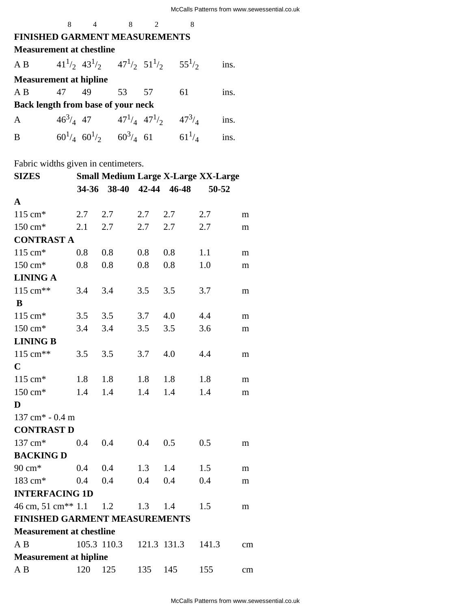## **FINISHED GARMENT MEASUREMENTS**

| <b>Measurement at chestline</b>                                                     |  |                                                |  |  |    |      |  |
|-------------------------------------------------------------------------------------|--|------------------------------------------------|--|--|----|------|--|
| A B $41\frac{1}{2}$ $43\frac{1}{2}$ $47\frac{1}{2}$ $51\frac{1}{2}$ $55\frac{1}{2}$ |  |                                                |  |  |    | ins. |  |
| <b>Measurement at hipline</b>                                                       |  |                                                |  |  |    |      |  |
| AB 47 49 53 57                                                                      |  |                                                |  |  | 61 | ins. |  |
| <b>Back length from base of your neck</b>                                           |  |                                                |  |  |    |      |  |
| $\mathbf{A}$                                                                        |  | $46^3/4$ 47 $47^1/4$ $47^1/2$ $47^3/4$         |  |  |    | ins. |  |
| B                                                                                   |  | $60^{1/4}$ $60^{1/2}$ $60^{3/4}$ 61 $61^{1/4}$ |  |  |    | ins. |  |

8 4 8 2 8

Fabric widths given in centimeters.

| <b>SIZES</b>                         |     |             |     |             | <b>Small Medium Large X-Large XX-Large</b> |    |
|--------------------------------------|-----|-------------|-----|-------------|--------------------------------------------|----|
|                                      |     | 34-36 38-40 |     | 42-44 46-48 | 50-52                                      |    |
| $\mathbf A$                          |     |             |     |             |                                            |    |
| 115 cm*                              | 2.7 | 2.7         | 2.7 | 2.7         | 2.7                                        | m  |
| 150 cm*                              | 2.1 | 2.7         | 2.7 | 2.7         | 2.7                                        | m  |
| <b>CONTRAST A</b>                    |     |             |     |             |                                            |    |
| $115 \text{ cm}^*$                   | 0.8 | 0.8         | 0.8 | 0.8         | 1.1                                        | m  |
| $150 \text{ cm}^*$                   | 0.8 | 0.8         | 0.8 | 0.8         | 1.0                                        | m  |
| <b>LINING A</b>                      |     |             |     |             |                                            |    |
| 115 cm**                             | 3.4 | 3.4         | 3.5 | 3.5         | 3.7                                        | m  |
| B                                    |     |             |     |             |                                            |    |
| 115 cm*                              | 3.5 | 3.5         | 3.7 | 4.0         | 4.4                                        | m  |
| 150 cm*                              | 3.4 | 3.4         | 3.5 | 3.5         | 3.6                                        | m  |
| <b>LINING B</b>                      |     |             |     |             |                                            |    |
| 115 cm**                             | 3.5 | 3.5         | 3.7 | 4.0         | 4.4                                        | m  |
| $\mathbf C$                          |     |             |     |             |                                            |    |
| 115 cm*                              | 1.8 | 1.8         | 1.8 | 1.8         | 1.8                                        | m  |
| 150 cm*                              | 1.4 | 1.4         | 1.4 | 1.4         | 1.4                                        | m  |
| D                                    |     |             |     |             |                                            |    |
| 137 cm <sup>*</sup> - 0.4 m          |     |             |     |             |                                            |    |
| <b>CONTRAST D</b>                    |     |             |     |             |                                            |    |
| 137 cm*                              | 0.4 | 0.4         | 0.4 | 0.5         | 0.5                                        | m  |
| <b>BACKING D</b>                     |     |             |     |             |                                            |    |
| 90 cm*                               | 0.4 | 0.4         | 1.3 | 1.4         | 1.5                                        | m  |
| 183 cm*                              | 0.4 | 0.4         | 0.4 | 0.4         | 0.4                                        | m  |
| <b>INTERFACING 1D</b>                |     |             |     |             |                                            |    |
| 46 cm, 51 cm <sup>**</sup> 1.1       |     | 1.2         | 1.3 | 1.4         | 1.5                                        | m  |
| <b>FINISHED GARMENT MEASUREMENTS</b> |     |             |     |             |                                            |    |
| <b>Measurement at chestline</b>      |     |             |     |             |                                            |    |
| A B                                  |     | 105.3 110.3 |     | 121.3 131.3 | 141.3                                      | cm |
| <b>Measurement at hipline</b>        |     |             |     |             |                                            |    |
| A B                                  | 120 | 125         | 135 | 145         | 155                                        | cm |